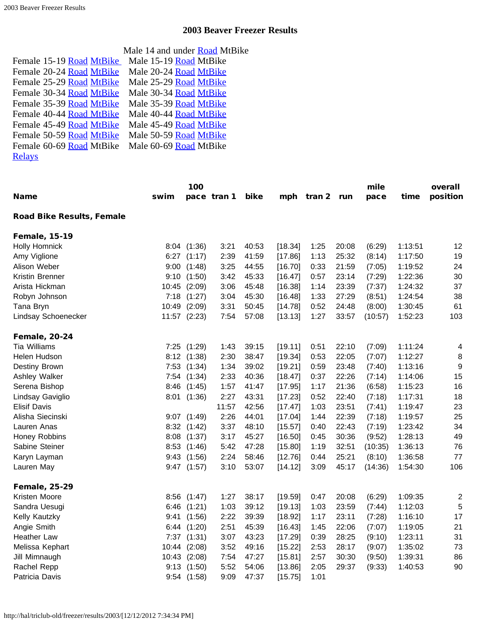<span id="page-0-3"></span>

|                          | Male 14 and under <b>Road</b> MtBike |
|--------------------------|--------------------------------------|
| Female 15-19 Road MtBike | Male 15-19 Road MtBike               |
| Female 20-24 Road MtBike | Male 20-24 Road MtBike               |
| Female 25-29 Road MtBike | Male 25-29 Road MtBike               |
| Female 30-34 Road MtBike | Male 30-34 Road MtBike               |
| Female 35-39 Road MtBike | Male 35-39 Road MtBike               |
| Female 40-44 Road MtBike | Male 40-44 Road MtBike               |
| Female 45-49 Road MtBike | Male 45-49 Road MtBike               |
| Female 50-59 Road MtBike | Male 50-59 Road MtBike               |
| Female 60-69 Road MtBike | Male 60-69 Road MtBike               |
| <b>Relays</b>            |                                      |

<span id="page-0-2"></span><span id="page-0-1"></span><span id="page-0-0"></span>

| <b>Name</b>                      | swim  | 100             | pace tran 1 | bike  | mph     | tran 2 | run   | mile<br>pace | time    | overall<br>position |
|----------------------------------|-------|-----------------|-------------|-------|---------|--------|-------|--------------|---------|---------------------|
|                                  |       |                 |             |       |         |        |       |              |         |                     |
| <b>Road Bike Results, Female</b> |       |                 |             |       |         |        |       |              |         |                     |
| <b>Female, 15-19</b>             |       |                 |             |       |         |        |       |              |         |                     |
| <b>Holly Homnick</b>             |       | 8:04 (1:36)     | 3:21        | 40:53 | [18.34] | 1:25   | 20:08 | (6:29)       | 1:13:51 | 12                  |
| Amy Viglione                     | 6:27  | (1:17)          | 2:39        | 41:59 | [17.86] | 1:13   | 25:32 | (8:14)       | 1:17:50 | 19                  |
| Alison Weber                     | 9:00  | (1:48)          | 3:25        | 44:55 | [16.70] | 0:33   | 21:59 | (7:05)       | 1:19:52 | 24                  |
| Kristin Brenner                  | 9:10  | (1:50)          | 3:42        | 45:33 | [16.47] | 0:57   | 23:14 | (7:29)       | 1:22:36 | 30                  |
| Arista Hickman                   | 10:45 | (2:09)          | 3:06        | 45:48 | [16.38] | 1:14   | 23:39 | (7:37)       | 1:24:32 | 37                  |
| Robyn Johnson                    | 7:18  | (1:27)          | 3:04        | 45:30 | [16.48] | 1:33   | 27:29 | (8:51)       | 1:24:54 | 38                  |
| Tana Bryn                        | 10:49 | (2:09)          | 3:31        | 50:45 | [14.78] | 0:52   | 24:48 | (8:00)       | 1:30:45 | 61                  |
| Lindsay Schoenecker              |       | 11:57 (2:23)    | 7:54        | 57:08 | [13.13] | 1:27   | 33:57 | (10:57)      | 1:52:23 | 103                 |
| <b>Female, 20-24</b>             |       |                 |             |       |         |        |       |              |         |                     |
| <b>Tia Williams</b>              | 7:25  | (1:29)          | 1:43        | 39:15 | [19.11] | 0:51   | 22:10 | (7:09)       | 1:11:24 | 4                   |
| Helen Hudson                     | 8:12  | (1:38)          | 2:30        | 38:47 | [19.34] | 0:53   | 22:05 | (7:07)       | 1:12:27 | 8                   |
| Destiny Brown                    | 7:53  | (1:34)          | 1:34        | 39:02 | [19.21] | 0:59   | 23:48 | (7:40)       | 1:13:16 | $\boldsymbol{9}$    |
| Ashley Walker                    | 7:54  | (1:34)          | 2:33        | 40:36 | [18.47] | 0:37   | 22:26 | (7:14)       | 1:14:06 | 15                  |
| Serena Bishop                    | 8:46  | (1:45)          | 1:57        | 41:47 | [17.95] | 1:17   | 21:36 | (6:58)       | 1:15:23 | 16                  |
| Lindsay Gaviglio                 | 8:01  | (1:36)          | 2:27        | 43:31 | [17.23] | 0:52   | 22:40 | (7:18)       | 1:17:31 | 18                  |
| <b>Elisif Davis</b>              |       |                 | 11:57       | 42:56 | [17.47] | 1:03   | 23:51 | (7:41)       | 1:19:47 | 23                  |
| Alisha Siecinski                 |       | $9:07$ $(1:49)$ | 2:26        | 44:01 | [17.04] | 1:44   | 22:39 | (7:18)       | 1:19:57 | 25                  |
| Lauren Anas                      | 8:32  | (1:42)          | 3:37        | 48:10 | [15.57] | 0:40   | 22:43 | (7:19)       | 1:23:42 | 34                  |
| Honey Robbins                    | 8:08  | (1:37)          | 3:17        | 45:27 | [16.50] | 0:45   | 30:36 | (9:52)       | 1:28:13 | 49                  |
| Sabine Steiner                   | 8:53  | (1:46)          | 5:42        | 47:28 | [15.80] | 1:19   | 32:51 | (10:35)      | 1:36:13 | 76                  |
| Karyn Layman                     | 9:43  | (1:56)          | 2:24        | 58:46 | [12.76] | 0:44   | 25:21 | (8:10)       | 1:36:58 | 77                  |
| Lauren May                       | 9:47  | (1:57)          | 3:10        | 53:07 | [14.12] | 3:09   | 45:17 | (14:36)      | 1:54:30 | 106                 |
| <b>Female, 25-29</b>             |       |                 |             |       |         |        |       |              |         |                     |
| Kristen Moore                    | 8:56  | (1:47)          | 1:27        | 38:17 | [19.59] | 0:47   | 20:08 | (6:29)       | 1:09:35 | $\overline{2}$      |
| Sandra Uesugi                    | 6:46  | (1:21)          | 1:03        | 39:12 | [19.13] | 1:03   | 23:59 | (7:44)       | 1:12:03 | 5                   |
| Kelly Kautzky                    | 9:41  | (1:56)          | 2:22        | 39:39 | [18.92] | 1:17   | 23:11 | (7:28)       | 1:16:10 | 17                  |
| Angie Smith                      | 6:44  | (1:20)          | 2:51        | 45:39 | [16.43] | 1:45   | 22:06 | (7:07)       | 1:19:05 | 21                  |
| <b>Heather Law</b>               | 7:37  | (1:31)          | 3:07        | 43:23 | [17.29] | 0:39   | 28:25 | (9:10)       | 1:23:11 | 31                  |
| Melissa Kephart                  | 10:44 | (2:08)          | 3:52        | 49:16 | [15.22] | 2:53   | 28:17 | (9:07)       | 1:35:02 | 73                  |
| Jill Mimnaugh                    | 10:43 | (2:08)          | 7:54        | 47:27 | [15.81] | 2:57   | 30:30 | (9:50)       | 1:39:31 | 86                  |
| Rachel Repp                      | 9:13  | (1:50)          | 5:52        | 54:06 | [13.86] | 2:05   | 29:37 | (9:33)       | 1:40:53 | 90                  |
| Patricia Davis                   | 9:54  | (1:58)          | 9:09        | 47:37 | [15.75] | 1:01   |       |              |         |                     |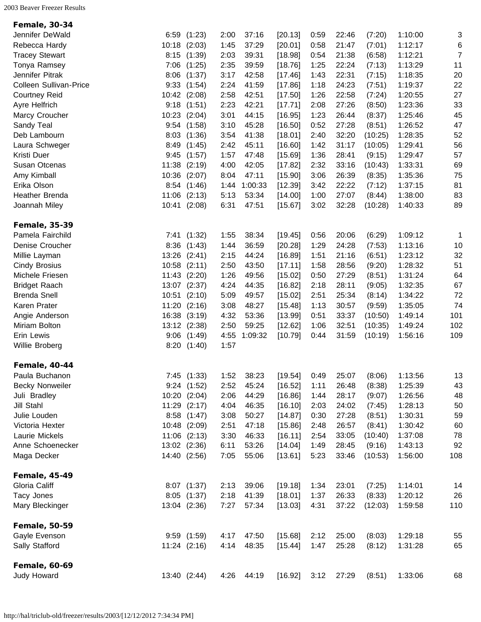<span id="page-1-5"></span><span id="page-1-4"></span><span id="page-1-3"></span><span id="page-1-2"></span><span id="page-1-1"></span><span id="page-1-0"></span>

| <b>Female, 30-34</b>   |       |              |      |         |         |      |       |         |         |                |
|------------------------|-------|--------------|------|---------|---------|------|-------|---------|---------|----------------|
| Jennifer DeWald        | 6:59  | (1:23)       | 2:00 | 37:16   | [20.13] | 0:59 | 22:46 | (7:20)  | 1:10:00 | 3              |
| Rebecca Hardy          | 10:18 | (2:03)       | 1:45 | 37:29   | [20.01] | 0:58 | 21:47 | (7:01)  | 1:12:17 | 6              |
| <b>Tracey Stewart</b>  | 8:15  | (1:39)       | 2:03 | 39:31   | [18.98] | 0:54 | 21:38 | (6:58)  | 1:12:21 | $\overline{7}$ |
| Tonya Ramsey           | 7:06  | (1:25)       | 2:35 | 39:59   | [18.76] | 1:25 | 22:24 | (7:13)  | 1:13:29 | 11             |
| Jennifer Pitrak        | 8:06  | (1:37)       | 3:17 | 42:58   | [17.46] | 1:43 | 22:31 | (7:15)  | 1:18:35 | 20             |
| Colleen Sullivan-Price | 9:33  | (1:54)       | 2:24 | 41:59   | [17.86] | 1:18 | 24:23 | (7:51)  | 1:19:37 | 22             |
| <b>Courtney Reid</b>   | 10:42 | (2:08)       | 2:58 | 42:51   | [17.50] | 1:26 | 22:58 | (7:24)  | 1:20:55 | 27             |
| Ayre Helfrich          | 9:18  | (1:51)       | 2:23 | 42:21   | [17.71] | 2:08 | 27:26 | (8:50)  | 1:23:36 | 33             |
| Marcy Croucher         | 10:23 | (2:04)       | 3:01 | 44:15   | [16.95] | 1:23 | 26:44 | (8:37)  | 1:25:46 | 45             |
| Sandy Teal             | 9:54  | (1:58)       | 3:10 | 45:28   | [16.50] | 0:52 | 27:28 | (8:51)  | 1:26:52 | 47             |
| Deb Lambourn           | 8:03  | (1:36)       | 3:54 | 41:38   | [18.01] | 2:40 | 32:20 | (10:25) | 1:28:35 | 52             |
| Laura Schweger         | 8:49  | (1:45)       | 2:42 | 45:11   | [16.60] | 1:42 | 31:17 | (10:05) | 1:29:41 | 56             |
| Kristi Duer            | 9:45  | (1:57)       | 1:57 | 47:48   | [15.69] | 1:36 | 28:41 | (9:15)  | 1:29:47 | 57             |
| Susan Otcenas          | 11:38 | (2:19)       | 4:00 | 42:05   | [17.82] | 2:32 | 33:16 | (10:43) | 1:33:31 | 69             |
| Amy Kimball            | 10:36 | (2:07)       | 8:04 | 47:11   | [15.90] | 3:06 | 26:39 | (8:35)  | 1:35:36 | 75             |
| Erika Olson            | 8:54  | (1:46)       | 1:44 | 1:00:33 | [12.39] | 3:42 | 22:22 | (7:12)  | 1:37:15 | 81             |
| Heather Brenda         | 11:06 | (2:13)       | 5:13 | 53:34   | [14.00] | 1:00 | 27:07 | (8:44)  | 1:38:00 | 83             |
| Joannah Miley          | 10:41 | (2:08)       | 6:31 | 47:51   | [15.67] | 3:02 | 32:28 | (10:28) | 1:40:33 | 89             |
| <b>Female, 35-39</b>   |       |              |      |         |         |      |       |         |         |                |
| Pamela Fairchild       | 7:41  | (1:32)       | 1:55 | 38:34   | [19.45] | 0:56 | 20:06 | (6:29)  | 1:09:12 | 1              |
| Denise Croucher        | 8:36  | (1:43)       | 1:44 | 36:59   | [20.28] | 1:29 | 24:28 | (7:53)  | 1:13:16 | 10             |
| Millie Layman          | 13:26 | (2:41)       | 2:15 | 44:24   | [16.89] | 1:51 | 21:16 | (6:51)  | 1:23:12 | 32             |
| <b>Cindy Brosius</b>   | 10:58 | (2:11)       | 2:50 | 43:50   | [17.11] | 1:58 | 28:56 | (9:20)  | 1:28:32 | 51             |
| Michele Friesen        | 11:43 | (2:20)       | 1:26 | 49:56   | [15.02] | 0:50 | 27:29 | (8:51)  | 1:31:24 | 64             |
| <b>Bridget Raach</b>   | 13:07 | (2:37)       | 4:24 | 44:35   | [16.82] | 2:18 | 28:11 | (9:05)  | 1:32:35 | 67             |
| <b>Brenda Snell</b>    | 10:51 | (2:10)       | 5:09 | 49:57   | [15.02] | 2:51 | 25:34 | (8:14)  | 1:34:22 | 72             |
| Karen Prater           | 11:20 | (2:16)       | 3:08 | 48:27   | [15.48] | 1:13 | 30:57 | (9:59)  | 1:35:05 | 74             |
| Angie Anderson         | 16:38 | (3:19)       | 4:32 | 53:36   | [13.99] | 0:51 | 33:37 | (10:50) | 1:49:14 | 101            |
| Miriam Bolton          | 13:12 | (2:38)       | 2:50 | 59:25   | [12.62] | 1:06 | 32:51 | (10:35) | 1:49:24 | 102            |
| Erin Lewis             | 9:06  | (1:49)       | 4:55 | 1:09:32 | [10.79] | 0:44 | 31:59 | (10:19) | 1:56:16 | 109            |
| Willie Broberg         | 8:20  | (1:40)       | 1:57 |         |         |      |       |         |         |                |
| <b>Female, 40-44</b>   |       |              |      |         |         |      |       |         |         |                |
| Paula Buchanon         |       | 7:45 (1:33)  | 1:52 | 38:23   | [19.54] | 0:49 | 25:07 | (8:06)  | 1:13:56 | 13             |
| <b>Becky Nonweiler</b> | 9:24  | (1:52)       | 2:52 | 45:24   | [16.52] | 1:11 | 26:48 | (8:38)  | 1:25:39 | 43             |
| Juli Bradley           | 10:20 | (2:04)       | 2:06 | 44:29   | [16.86] | 1:44 | 28:17 | (9:07)  | 1:26:56 | 48             |
| <b>Jill Stahl</b>      | 11:29 | (2:17)       | 4:04 | 46:35   | [16.10] | 2:03 | 24:02 | (7:45)  | 1:28:13 | 50             |
| Julie Louden           | 8:58  | (1:47)       | 3:08 | 50:27   | [14.87] | 0:30 | 27:28 | (8:51)  | 1:30:31 | 59             |
| Victoria Hexter        | 10:48 | (2:09)       | 2:51 | 47:18   | [15.86] | 2:48 | 26:57 | (8:41)  | 1:30:42 | 60             |
| Laurie Mickels         | 11:06 | (2:13)       | 3:30 | 46:33   | [16.11] | 2:54 | 33:05 | (10:40) | 1:37:08 | 78             |
| Anne Schoenecker       | 13:02 | (2:36)       | 6:11 | 53:26   | [14.04] | 1:49 | 28:45 | (9:16)  | 1:43:13 | 92             |
| Maga Decker            |       | 14:40 (2:56) | 7:05 | 55:06   | [13.61] | 5:23 | 33:46 | (10:53) | 1:56:00 | 108            |
| <b>Female, 45-49</b>   |       |              |      |         |         |      |       |         |         |                |
| Gloria Califf          |       | 8:07 (1:37)  | 2:13 | 39:06   | [19.18] | 1:34 | 23:01 | (7:25)  | 1:14:01 | 14             |
| Tacy Jones             |       | 8:05 (1:37)  | 2:18 | 41:39   | [18.01] | 1:37 | 26:33 | (8:33)  | 1:20:12 | 26             |
| Mary Bleckinger        |       | 13:04 (2:36) | 7:27 | 57:34   | [13.03] | 4:31 | 37:22 | (12:03) | 1:59:58 | 110            |
| <b>Female, 50-59</b>   |       |              |      |         |         |      |       |         |         |                |
| Gayle Evenson          |       | 9:59(1:59)   | 4:17 | 47:50   | [15.68] | 2:12 | 25:00 | (8:03)  | 1:29:18 | 55             |
| Sally Stafford         |       | 11:24 (2:16) | 4:14 | 48:35   | [15.44] | 1:47 | 25:28 | (8:12)  | 1:31:28 | 65             |
| <b>Female, 60-69</b>   |       |              |      |         |         |      |       |         |         |                |
| Judy Howard            |       | 13:40 (2:44) | 4:26 | 44:19   | [16.92] | 3:12 | 27:29 | (8:51)  | 1:33:06 | 68             |
|                        |       |              |      |         |         |      |       |         |         |                |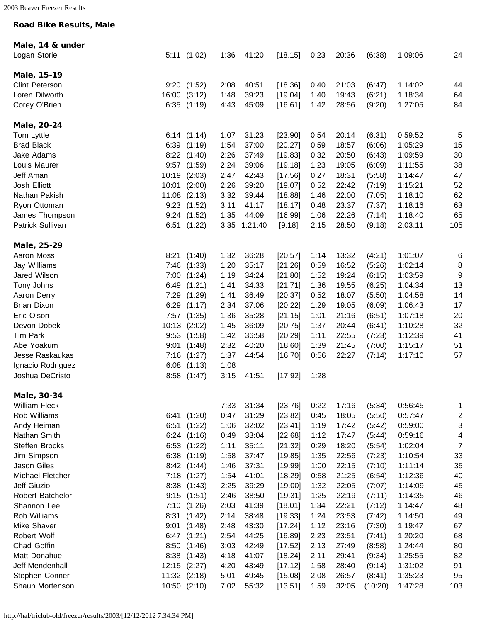## Road Bike Results, Male

<span id="page-2-4"></span><span id="page-2-3"></span><span id="page-2-2"></span><span id="page-2-1"></span><span id="page-2-0"></span>

| Male, 14 & under     |       |              |      |         |         |      |       |         |         |                         |
|----------------------|-------|--------------|------|---------|---------|------|-------|---------|---------|-------------------------|
| Logan Storie         |       | 5:11(1:02)   | 1:36 | 41:20   | [18.15] | 0:23 | 20:36 | (6:38)  | 1:09:06 | 24                      |
|                      |       |              |      |         |         |      |       |         |         |                         |
| Male, 15-19          |       |              |      |         |         |      |       |         |         |                         |
| Clint Peterson       | 9:20  | (1:52)       | 2:08 | 40:51   | [18.36] | 0:40 | 21:03 | (6:47)  | 1:14:02 | 44                      |
| Loren Dilworth       | 16:00 | (3:12)       | 1:48 | 39:23   | [19.04] | 1:40 | 19:43 | (6:21)  | 1:18:34 | 64                      |
| Corey O'Brien        | 6:35  | (1:19)       | 4:43 | 45:09   | [16.61] | 1:42 | 28:56 | (9:20)  | 1:27:05 | 84                      |
| Male, 20-24          |       |              |      |         |         |      |       |         |         |                         |
| Tom Lyttle           |       | 6:14(1:14)   | 1:07 | 31:23   | [23.90] | 0:54 | 20:14 | (6:31)  | 0:59:52 | 5                       |
| <b>Brad Black</b>    | 6:39  | (1:19)       | 1:54 | 37:00   | [20.27] | 0:59 | 18:57 | (6:06)  | 1:05:29 | 15                      |
| Jake Adams           | 8:22  | (1:40)       | 2:26 | 37:49   | [19.83] | 0:32 | 20:50 | (6:43)  | 1:09:59 | 30                      |
| Louis Maurer         | 9:57  | (1:59)       | 2:24 | 39:06   | [19.18] | 1:23 | 19:05 | (6:09)  | 1:11:55 | 38                      |
| Jeff Aman            | 10:19 | (2:03)       | 2:47 | 42:43   | [17.56] | 0:27 | 18:31 | (5:58)  | 1:14:47 | 47                      |
| Josh Elliott         | 10:01 | (2:00)       | 2:26 | 39:20   | [19.07] | 0:52 | 22:42 | (7:19)  | 1:15:21 | 52                      |
| Nathan Pakish        | 11:08 | (2:13)       | 3:32 | 39:44   | [18.88] | 1:46 | 22:00 | (7:05)  | 1:18:10 | 62                      |
| Ryon Ottoman         | 9:23  | (1:52)       | 3:11 | 41:17   | [18.17] | 0:48 | 23:37 | (7:37)  | 1:18:16 | 63                      |
| James Thompson       | 9:24  | (1:52)       | 1:35 | 44:09   | [16.99] | 1:06 | 22:26 | (7:14)  | 1:18:40 | 65                      |
| Patrick Sullivan     | 6:51  | (1:22)       | 3:35 | 1:21:40 | [9.18]  | 2:15 | 28:50 | (9:18)  | 2:03:11 | 105                     |
| Male, 25-29          |       |              |      |         |         |      |       |         |         |                         |
| Aaron Moss           | 8:21  | (1:40)       | 1:32 | 36:28   | [20.57] | 1:14 | 13:32 | (4:21)  | 1:01:07 | 6                       |
| Jay Williams         | 7:46  | (1:33)       | 1:20 | 35:17   | [21.26] | 0:59 | 16:52 | (5:26)  | 1:02:14 | 8                       |
| Jared Wilson         | 7:00  | (1:24)       | 1:19 | 34:24   | [21.80] | 1:52 | 19:24 | (6:15)  | 1:03:59 | 9                       |
| Tony Johns           | 6:49  | (1:21)       | 1:41 | 34:33   | [21.71] | 1:36 | 19:55 | (6:25)  | 1:04:34 | 13                      |
| Aaron Derry          | 7:29  | (1:29)       | 1:41 | 36:49   | [20.37] | 0:52 | 18:07 | (5:50)  | 1:04:58 | 14                      |
| <b>Brian Dixon</b>   | 6:29  | (1:17)       | 2:34 | 37:06   | [20.22] | 1:29 | 19:05 | (6:09)  | 1:06:43 | 17                      |
| Eric Olson           | 7:57  | (1:35)       | 1:36 | 35:28   | [21.15] | 1:01 | 21:16 | (6:51)  | 1:07:18 | 20                      |
| Devon Dobek          | 10:13 | (2:02)       | 1:45 | 36:09   | [20.75] | 1:37 | 20:44 | (6:41)  | 1:10:28 | 32                      |
| <b>Tim Park</b>      | 9:53  | (1:58)       | 1:42 | 36:58   | [20.29] | 1:11 | 22:55 | (7:23)  | 1:12:39 | 41                      |
| Abe Yoakum           | 9:01  | (1:48)       | 2:32 | 40:20   | [18.60] | 1:39 | 21:45 | (7:00)  | 1:15:17 | 51                      |
| Jesse Raskaukas      | 7:16  | (1:27)       | 1:37 | 44:54   | [16.70] | 0:56 | 22:27 | (7:14)  | 1:17:10 | 57                      |
| Ignacio Rodriguez    | 6:08  | (1:13)       | 1:08 |         |         |      |       |         |         |                         |
| Joshua DeCristo      | 8:58  | (1:47)       | 3:15 | 41:51   | [17.92] | 1:28 |       |         |         |                         |
| Male, 30-34          |       |              |      |         |         |      |       |         |         |                         |
| <b>William Fleck</b> |       |              | 7:33 | 31:34   | [23.76] | 0:22 | 17:16 | (5:34)  | 0:56:45 | 1                       |
| Rob Williams         | 6:41  | (1:20)       | 0:47 | 31:29   | [23.82] | 0:45 | 18:05 | (5:50)  | 0:57:47 | $\overline{\mathbf{c}}$ |
| Andy Heiman          | 6:51  | (1:22)       | 1:06 | 32:02   | [23.41] | 1:19 | 17:42 | (5:42)  | 0:59:00 | 3                       |
| Nathan Smith         | 6:24  | (1:16)       | 0:49 | 33:04   | [22.68] | 1:12 | 17:47 | (5:44)  | 0:59:16 | 4                       |
| Steffen Brocks       | 6:53  | (1:22)       | 1:11 | 35:11   | [21.32] | 0:29 | 18:20 | (5:54)  | 1:02:04 | $\overline{7}$          |
| Jim Simpson          | 6:38  | (1:19)       | 1:58 | 37:47   | [19.85] | 1:35 | 22:56 | (7:23)  | 1:10:54 | 33                      |
| Jason Giles          | 8:42  | (1:44)       | 1:46 | 37:31   | [19.99] | 1:00 | 22:15 | (7:10)  | 1:11:14 | 35                      |
| Michael Fletcher     | 7:18  | (1:27)       | 1:54 | 41:01   | [18.29] | 0:58 | 21:25 | (6:54)  | 1:12:36 | 40                      |
| Jeff Giuzio          | 8:38  | (1:43)       | 2:25 | 39:29   | [19.00] | 1:32 | 22:05 | (7:07)  | 1:14:09 | 45                      |
| Robert Batchelor     | 9:15  | (1:51)       | 2:46 | 38:50   | [19.31] | 1:25 | 22:19 | (7:11)  | 1:14:35 | 46                      |
| Shannon Lee          | 7:10  | (1:26)       | 2:03 | 41:39   | [18.01] | 1:34 | 22:21 | (7:12)  | 1:14:47 | 48                      |
| Rob Williams         | 8:31  | (1:42)       | 2:14 | 38:48   | [19.33] | 1:24 | 23:53 | (7:42)  | 1:14:50 | 49                      |
| Mike Shaver          | 9:01  | (1:48)       | 2:48 | 43:30   | [17.24] | 1:12 | 23:16 | (7:30)  | 1:19:47 | 67                      |
| Robert Wolf          | 6:47  | (1:21)       | 2:54 | 44:25   | [16.89] | 2:23 | 23:51 | (7:41)  | 1:20:20 | 68                      |
| Chad Goffin          | 8:50  | (1:46)       | 3:03 | 42:49   | [17.52] | 2:13 | 27:49 | (8:58)  | 1:24:44 | 80                      |
| Matt Donahue         | 8:38  | (1:43)       | 4:18 | 41:07   | [18.24] | 2:11 | 29:41 | (9:34)  | 1:25:55 | 82                      |
| Jeff Mendenhall      | 12:15 | (2:27)       | 4:20 | 43:49   | [17.12] | 1:58 | 28:40 | (9:14)  | 1:31:02 | 91                      |
| Stephen Conner       | 11:32 | (2:18)       | 5:01 | 49:45   | [15.08] | 2:08 | 26:57 | (8:41)  | 1:35:23 | 95                      |
| Shaun Mortenson      |       | 10:50 (2:10) | 7:02 | 55:32   | [13.51] | 1:59 | 32:05 | (10:20) | 1:47:28 | 103                     |
|                      |       |              |      |         |         |      |       |         |         |                         |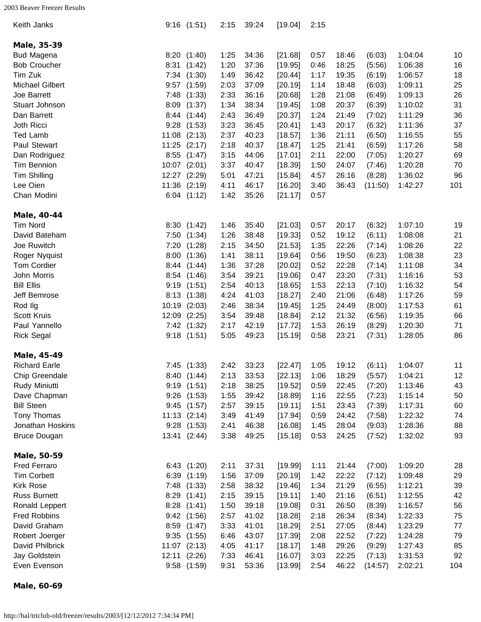<span id="page-3-0"></span>

| Keith Janks            |       | 9:16(1:51)  | 2:15 | 39:24 | [19.04] | 2:15 |       |         |         |     |
|------------------------|-------|-------------|------|-------|---------|------|-------|---------|---------|-----|
| Male, 35-39            |       |             |      |       |         |      |       |         |         |     |
| <b>Bud Magena</b>      |       | 8:20(1:40)  | 1:25 | 34:36 | [21.68] | 0:57 | 18:46 | (6:03)  | 1:04:04 | 10  |
| <b>Bob Croucher</b>    | 8:31  | (1:42)      | 1:20 | 37:36 | [19.95] | 0:46 | 18:25 | (5:56)  | 1:06:38 | 16  |
| Tim Zuk                | 7:34  | (1:30)      | 1:49 | 36:42 | [20.44] | 1:17 | 19:35 | (6:19)  | 1:06:57 | 18  |
| <b>Michael Gilbert</b> | 9:57  | (1:59)      | 2:03 | 37:09 | [20.19] | 1:14 | 18:48 | (6:03)  | 1:09:11 | 25  |
| Joe Barrett            | 7:48  | (1:33)      | 2:33 | 36:16 | [20.68] | 1:28 | 21:08 | (6:49)  | 1:09:13 | 26  |
| Stuart Johnson         | 8:09  | (1:37)      | 1:34 | 38:34 | [19.45] | 1:08 | 20:37 | (6:39)  | 1:10:02 | 31  |
| Dan Barrett            | 8:44  | (1:44)      | 2:43 | 36:49 | [20.37] | 1:24 | 21:49 | (7:02)  | 1:11:29 | 36  |
| Joth Ricci             | 9:28  | (1:53)      | 3:23 | 36:45 | [20.41] | 1:43 | 20:17 | (6:32)  | 1:11:36 | 37  |
| <b>Ted Lamb</b>        | 11:08 | (2:13)      | 2:37 | 40:23 | [18.57] | 1:36 | 21:11 | (6:50)  | 1:16:55 | 55  |
| Paul Stewart           | 11:25 | (2:17)      | 2:18 | 40:37 | [18.47] | 1:25 | 21:41 | (6:59)  | 1:17:26 | 58  |
| Dan Rodriguez          | 8:55  | (1:47)      | 3:15 | 44:06 | [17.01] | 2:11 | 22:00 | (7:05)  | 1:20:27 | 69  |
| Tim Bennion            | 10:07 | (2:01)      | 3:37 | 40:47 | [18.39] | 1:50 | 24:07 | (7:46)  | 1:20:28 | 70  |
| Tim Shilling           | 12:27 | (2:29)      | 5:01 | 47:21 | [15.84] | 4:57 | 26:16 | (8:28)  | 1:36:02 | 96  |
| Lee Oien               | 11:36 | (2:19)      | 4:11 | 46:17 | [16.20] | 3:40 | 36:43 | (11:50) | 1:42:27 | 101 |
| Chan Modini            | 6:04  | (1:12)      | 1:42 | 35:26 | [21.17] | 0:57 |       |         |         |     |
| Male, 40-44            |       |             |      |       |         |      |       |         |         |     |
| <b>Tim Nord</b>        | 8:30  | (1:42)      | 1:46 | 35:40 | [21.03] | 0:57 | 20:17 | (6:32)  | 1:07:10 | 19  |
| David Bateham          | 7:50  | (1:34)      | 1:26 | 38:48 | [19.33] | 0:52 | 19:12 | (6:11)  | 1:08:08 | 21  |
| Joe Ruwitch            | 7:20  | (1:28)      | 2:15 | 34:50 | [21.53] | 1:35 | 22:26 | (7:14)  | 1:08:26 | 22  |
| Roger Nyquist          | 8:00  | (1:36)      | 1:41 | 38:11 | [19.64] | 0:56 | 19:50 | (6:23)  | 1:08:38 | 23  |
| <b>Tom Cordier</b>     | 8:44  | (1:44)      | 1:36 | 37:28 | [20.02] | 0:52 | 22:28 | (7:14)  | 1:11:08 | 34  |
| John Morris            | 8:54  | (1:46)      | 3:54 | 39:21 | [19.06] | 0:47 | 23:20 | (7:31)  | 1:16:16 | 53  |
| <b>Bill Ellis</b>      | 9:19  | (1:51)      | 2:54 | 40:13 | [18.65] | 1:53 | 22:13 | (7:10)  | 1:16:32 | 54  |
| Jeff Bemrose           | 8:13  | (1:38)      | 4:24 | 41:03 | [18.27] | 2:40 | 21:06 | (6:48)  | 1:17:26 | 59  |
| Rod Ilg                | 10:19 | (2:03)      | 2:46 | 38:34 | [19.45] | 1:25 | 24:49 | (8:00)  | 1:17:53 | 61  |
| <b>Scott Kruis</b>     | 12:09 | (2:25)      | 3:54 | 39:48 | [18.84] | 2:12 | 21:32 | (6:56)  | 1:19:35 | 66  |
| Paul Yannello          | 7:42  | (1:32)      | 2:17 | 42:19 | [17.72] | 1:53 | 26:19 | (8:29)  | 1:20:30 | 71  |
| <b>Rick Segal</b>      | 9:18  | (1:51)      | 5:05 | 49:23 | [15.19] | 0:58 | 23:21 | (7:31)  | 1:28:05 | 86  |
|                        |       |             |      |       |         |      |       |         |         |     |
| Male, 45-49            |       |             |      |       |         |      |       |         |         |     |
| <b>Richard Earle</b>   |       | 7:45 (1:33) | 2:42 | 33:23 | [22.47] | 1:05 | 19:12 | (6:11)  | 1:04:07 | 11  |
| Chip Greendale         |       | 8:40 (1:44) | 2:13 | 33:53 | [22.13] | 1:06 | 18:29 | (5:57)  | 1:04:21 | 12  |
| Rudy Miniutti          | 9:19  | (1:51)      | 2:18 | 38:25 | [19.52] | 0:59 | 22:45 | (7:20)  | 1:13:46 | 43  |
| Dave Chapman           | 9:26  | (1:53)      | 1:55 | 39:42 | [18.89] | 1:16 | 22:55 | (7:23)  | 1:15:14 | 50  |
| <b>Bill Steen</b>      | 9:45  | (1:57)      | 2:57 | 39:15 | [19.11] | 1:51 | 23:43 | (7:39)  | 1:17:31 | 60  |
| Tony Thomas            | 11:13 | (2:14)      | 3:49 | 41:49 | [17.94] | 0:59 | 24:42 | (7:58)  | 1:22:32 | 74  |
| Jonathan Hoskins       | 9:28  | (1:53)      | 2:41 | 46:38 | [16.08] | 1:45 | 28:04 | (9:03)  | 1:28:36 | 88  |
| <b>Bruce Dougan</b>    | 13:41 | (2:44)      | 3:38 | 49:25 | [15.18] | 0:53 | 24:25 | (7:52)  | 1:32:02 | 93  |
| Male, 50-59            |       |             |      |       |         |      |       |         |         |     |
| <b>Fred Ferraro</b>    |       | 6:43 (1:20) | 2:11 | 37:31 | [19.99] | 1:11 | 21:44 | (7:00)  | 1:09:20 | 28  |
| <b>Tim Corbett</b>     | 6:39  | (1:19)      | 1:56 | 37:09 | [20.19] | 1:42 | 22:22 | (7:12)  | 1:09:48 | 29  |
| <b>Kirk Rose</b>       | 7:48  | (1:33)      | 2:58 | 38:32 | [19.46] | 1:34 | 21:29 | (6:55)  | 1:12:21 | 39  |
| <b>Russ Burnett</b>    | 8:29  | (1:41)      | 2:15 | 39:15 | [19.11] | 1:40 | 21:16 | (6:51)  | 1:12:55 | 42  |
| Ronald Leppert         | 8:28  | (1:41)      | 1:50 | 39:18 | [19.08] | 0:31 | 26:50 | (8:39)  | 1:16:57 | 56  |
| <b>Fred Robbins</b>    | 9:42  | (1:56)      | 2:57 | 41:02 | [18.28] | 2:18 | 26:34 | (8:34)  | 1:22:33 | 75  |
| David Graham           | 8:59  | (1:47)      | 3:33 | 41:01 | [18.29] | 2:51 | 27:05 | (8:44)  | 1:23:29 | 77  |
| Robert Joerger         | 9:35  | (1:55)      | 6:46 | 43:07 | [17.39] | 2:08 | 22:52 | (7:22)  | 1:24:28 | 79  |
| David Philbrick        | 11:07 | (2:13)      | 4:05 | 41:17 | [18.17] | 1:48 | 29:26 | (9:29)  | 1:27:43 | 85  |
| Jay Goldstein          | 12:11 | (2:26)      | 7:33 | 46:41 | [16.07] | 3:03 | 22:25 | (7:13)  | 1:31:53 | 92  |
| Even Evenson           |       | 9:58(1:59)  | 9:31 | 53:36 | [13.99] | 2:54 | 46:22 | (14:57) | 2:02:21 | 104 |
|                        |       |             |      |       |         |      |       |         |         |     |

<span id="page-3-3"></span><span id="page-3-2"></span><span id="page-3-1"></span>Male, 60-69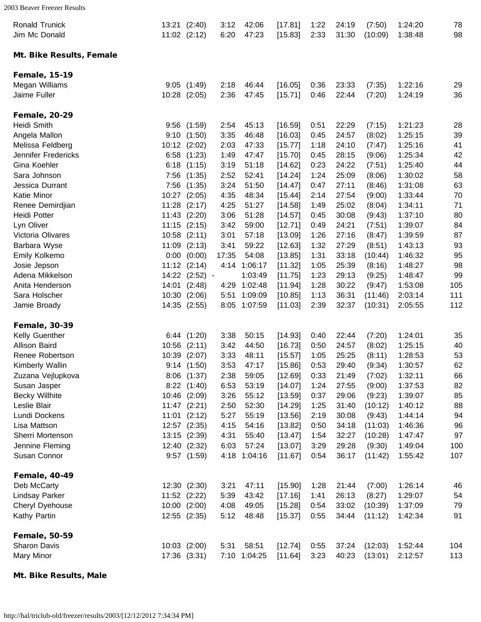<span id="page-4-1"></span><span id="page-4-0"></span>

| <b>Ronald Trunick</b><br>Jim Mc Donald |       | 13:21 (2:40)<br>11:02 (2:12) | 3:12<br>6:20 | 42:06<br>47:23 | [17.81]<br>[15.83] | 1:22<br>2:33 | 24:19<br>31:30 | (7:50)<br>(10:09) | 1:24:20<br>1:38:48 | 78<br>98 |
|----------------------------------------|-------|------------------------------|--------------|----------------|--------------------|--------------|----------------|-------------------|--------------------|----------|
| Mt. Bike Results, Female               |       |                              |              |                |                    |              |                |                   |                    |          |
| <b>Female, 15-19</b>                   |       |                              |              |                |                    |              |                |                   |                    |          |
| Megan Williams                         | 9:05  | (1:49)                       | 2:18         | 46:44          | [16.05]            | 0:36         | 23:33          | (7:35)            | 1:22:16            | 29       |
| Jaime Fuller                           | 10:28 | (2:05)                       | 2:36         | 47:45          | [15.71]            | 0:46         | 22:44          | (7:20)            | 1:24:19            | 36       |
| <b>Female, 20-29</b>                   |       |                              |              |                |                    |              |                |                   |                    |          |
| Heidi Smith                            | 9:56  | (1:59)                       | 2:54         | 45:13          | [16.59]            | 0:51         | 22:29          | (7:15)            | 1:21:23            | 28       |
| Angela Mallon                          | 9:10  | (1:50)                       | 3:35         | 46:48          | [16.03]            | 0:45         | 24:57          | (8:02)            | 1:25:15            | 39       |
| Melissa Feldberg                       | 10:12 | (2:02)                       | 2:03         | 47:33          | [15.77]            | 1:18         | 24:10          | (7:47)            | 1:25:16            | 41       |
| Jennifer Fredericks                    | 6:58  | (1:23)                       | 1:49         | 47:47          | [15.70]            | 0:45         | 28:15          | (9:06)            | 1:25:34            | 42       |
| Gina Koehler                           | 6:18  | (1:15)                       | 3:19         | 51:18          | [14.62]            | 0:23         | 24:22          | (7:51)            | 1:25:40            | 44       |
| Sara Johnson                           | 7:56  | (1:35)                       | 2:52         | 52:41          | [14.24]            | 1:24         | 25:09          | (8:06)            | 1:30:02            | 58       |
| Jessica Durrant                        | 7:56  | (1:35)                       | 3:24         | 51:50          | [14.47]            | 0:47         | 27:11          | (8:46)            | 1:31:08            | 63       |
| <b>Katie Minor</b>                     | 10:27 | (2:05)                       | 4:35         | 48:34          | [15.44]            | 2:14         | 27:54          | (9:00)            | 1:33:44            | 70       |
| Renee Demirdjian                       | 11:28 | (2:17)                       | 4:25         | 51:27          | [14.58]            | 1:49         | 25:02          | (8:04)            | 1:34:11            | 71       |
| <b>Heidi Potter</b>                    | 11:43 | (2:20)                       | 3:06         | 51:28          | [14.57]            | 0:45         | 30:08          | (9:43)            | 1:37:10            | 80       |
| Lyn Oliver                             | 11:15 | (2:15)                       | 3:42         | 59:00          | [12.71]            | 0:49         | 24:21          | (7:51)            | 1:39:07            | 84       |
| Victoria Olivares                      | 10:58 | (2:11)                       | 3:01         | 57:18          | [13.09]            | 1:26         | 27:16          | (8:47)            | 1:39:59            | 87       |
| Barbara Wyse                           | 11:09 | (2:13)                       | 3:41         | 59:22          | [12.63]            | 1:32         | 27:29          | (8:51)            | 1:43:13            | 93       |
| Emily Kolkemo                          | 0:00  | (0:00)                       | 17:35        | 54:08          | [13.85]            | 1:31         | 33:18          | (10:44)           | 1:46:32            | 95       |
| Josie Jepson                           | 11:12 | (2:14)                       | 4:14         | 1:06:17        | [11.32]            | 1:05         | 25:39          | (8:16)            | 1:48:27            | 98       |
| Adena Mikkelson                        | 14:22 | $(2:52) -$                   |              | 1:03:49        | [11.75]            | 1:23         | 29:13          | (9:25)            | 1:48:47            | 99       |
| Anita Henderson                        | 14:01 | (2:48)                       | 4:29         | 1:02:48        | [11.94]            | 1:28         | 30:22          | (9:47)            | 1:53:08            | 105      |
| Sara Holscher                          | 10:30 | (2:06)                       | 5:51         | 1:09:09        | [10.85]            | 1:13         | 36:31          | (11:46)           | 2:03:14            | 111      |
| Jamie Broady                           | 14:35 | (2:55)                       |              | 8:05 1:07:59   | [11.03]            | 2:39         | 32:37          | (10:31)           | 2:05:55            | 112      |
| <b>Female, 30-39</b>                   |       |                              |              |                |                    |              |                |                   |                    |          |
| Kelly Guenther                         | 6:44  | (1:20)                       | 3:38         | 50:15          | [14.93]            | 0:40         | 22:44          | (7:20)            | 1:24:01            | 35       |
| Allison Baird                          | 10:56 | (2:11)                       | 3:42         | 44:50          | [16.73]            | 0:50         | 24:57          | (8:02)            | 1:25:15            | 40       |
| Renee Robertson                        | 10:39 | (2:07)                       | 3:33         | 48:11          | [15.57]            | 1:05         | 25:25          | (8:11)            | 1:28:53            | 53       |
| Kimberly Wallin                        | 9:14  | (1:50)                       | 3:53         | 47:17          | [15.86]            | 0:53         | 29:40          | (9:34)            | 1:30:57            | 62       |
| Zuzana Vejlupkova                      |       | 8:06 (1:37)                  | 2:38         | 59:05          | [12.69]            | 0:33         | 21:49          | (7:02)            | 1:32:11            | 66       |
| Susan Jasper                           |       | 8:22 (1:40)                  | 6:53         | 53:19          | [14.07]            | 1:24         | 27:55          | (9:00)            | 1:37:53            | 82       |
| <b>Becky Willhite</b>                  |       | 10:46 (2:09)                 | 3:26         | 55:12          | [13.59]            | 0:37         | 29:06          | (9:23)            | 1:39:07            | 85       |
| Leslie Blair                           |       | 11:47 (2:21)                 | 2:50         | 52:30          | [14.29]            | 1:25         | 31:40          | (10:12)           | 1:40:12            | 88       |
| Lundi Dockens                          |       | $11:01$ $(2:12)$             | 5:27         | 55:19          | [13.56]            | 2:19         | 30:08          | (9:43)            | 1:44:14            | 94       |
| Lisa Mattson                           |       | 12:57 (2:35)                 | 4:15         | 54:16          | [13.82]            | 0:50         | 34:18          | (11:03)           | 1:46:36            | 96       |
| Sherri Mortenson                       | 13:15 | (2:39)                       | 4:31         | 55:40          | [13.47]            | 1:54         | 32:27          | (10:28)           | 1:47:47            | 97       |
| Jennine Fleming                        |       | 12:40 (2:32)                 | 6:03         | 57:24          | [13.07]            | 3:29         | 29:28          | (9:30)            | 1:49:04            | 100      |
| Susan Connor                           |       | $9:57$ $(1:59)$              |              | 4:18 1:04:16   | [11.67]            | 0:54         | 36:17          | (11:42)           | 1:55:42            | 107      |
| <b>Female, 40-49</b>                   |       |                              |              |                |                    |              |                |                   |                    |          |
| Deb McCarty                            |       | 12:30 (2:30)                 | 3:21         | 47:11          | [15.90]            | 1:28         | 21:44          | (7:00)            | 1:26:14            | 46       |
| <b>Lindsay Parker</b>                  |       | 11:52 (2:22)                 | 5:39         | 43:42          | [17.16]            | 1:41         | 26:13          | (8:27)            | 1:29:07            | 54       |
| Cheryl Dyehouse                        |       | 10:00 (2:00)                 | 4:08         | 49:05          | [15.28]            | 0:54         | 33:02          | (10:39)           | 1:37:09            | 79       |
| Kathy Partin                           |       | 12:55 (2:35)                 | 5:12         | 48:48          | [15.37]            | 0:55         | 34:44          | (11:12)           | 1:42:34            | 91       |
| <b>Female, 50-59</b>                   |       |                              |              |                |                    |              |                |                   |                    |          |
| <b>Sharon Davis</b>                    |       | 10:03 (2:00)                 | 5:31         | 58:51          | [12.74]            | 0:55         | 37:24          | (12:03)           | 1:52:44            | 104      |
| Mary Minor                             |       | 17:36 (3:31)                 |              | 7:10 1:04:25   | [11.64]            | 3:23         | 40:23          | (13:01)           | 2:12:57            | 113      |
|                                        |       |                              |              |                |                    |              |                |                   |                    |          |

<span id="page-4-4"></span><span id="page-4-3"></span><span id="page-4-2"></span>Mt. Bike Results, Male